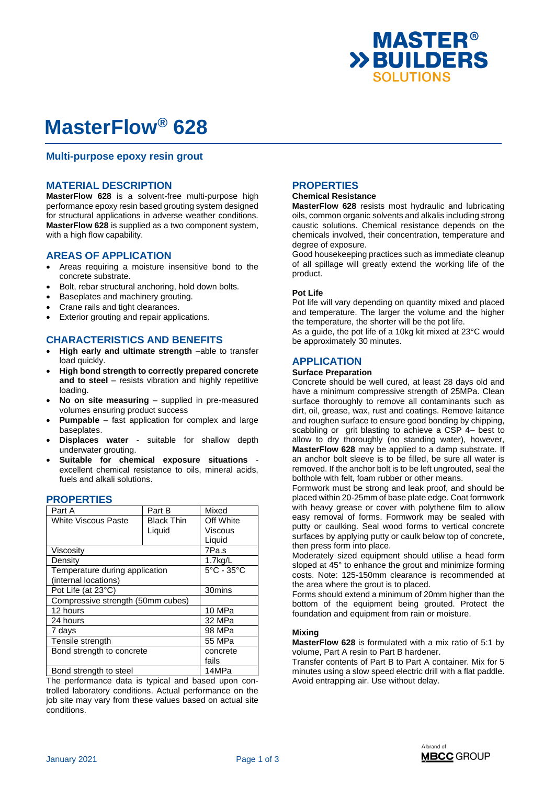

# **MasterFlow® 628**

## **Multi-purpose epoxy resin grout**

#### **MATERIAL DESCRIPTION**

**MasterFlow 628** is a solvent-free multi-purpose high performance epoxy resin based grouting system designed for structural applications in adverse weather conditions. **MasterFlow 628** is supplied as a two component system, with a high flow capability.

## **AREAS OF APPLICATION**

- Areas requiring a moisture insensitive bond to the concrete substrate.
- Bolt, rebar structural anchoring, hold down bolts.
- Baseplates and machinery grouting.
- Crane rails and tight clearances.
- Exterior grouting and repair applications.

# **CHARACTERISTICS AND BENEFITS**

- **High early and ultimate strength** –able to transfer load quickly.
- **High bond strength to correctly prepared concrete and to steel** – resists vibration and highly repetitive loading.
- **No on site measuring** supplied in pre-measured volumes ensuring product success
- **Pumpable** fast application for complex and large baseplates.
- **Displaces water** suitable for shallow depth underwater grouting.
- Suitable for chemical exposure situations excellent chemical resistance to oils, mineral acids, fuels and alkali solutions.

| Part A                            | Part B            | Mixed                           |
|-----------------------------------|-------------------|---------------------------------|
| <b>White Viscous Paste</b>        | <b>Black Thin</b> | Off White                       |
|                                   | Liquid            | Viscous                         |
|                                   |                   | Liquid                          |
| Viscosity                         | 7Pa.s             |                                 |
| Density                           | $1.7$ kg/L        |                                 |
| Temperature during application    |                   | $5^{\circ}$ C - 35 $^{\circ}$ C |
| (internal locations)              |                   |                                 |
| Pot Life (at 23°C)                | 30mins            |                                 |
| Compressive strength (50mm cubes) |                   |                                 |
| 12 hours                          | 10 MPa            |                                 |
| 24 hours                          | 32 MPa            |                                 |
| 7 days                            | 98 MPa            |                                 |
| Tensile strength                  | 55 MPa            |                                 |
| Bond strength to concrete         | concrete          |                                 |
|                                   |                   | fails                           |
| Bond strength to steel            | 14MPa             |                                 |

#### **PROPERTIES**

The performance data is typical and based upon controlled laboratory conditions. Actual performance on the job site may vary from these values based on actual site conditions.

# **PROPERTIES**

#### **Chemical Resistance**

**MasterFlow 628** resists most hydraulic and lubricating oils, common organic solvents and alkalis including strong caustic solutions. Chemical resistance depends on the chemicals involved, their concentration, temperature and degree of exposure.

Good housekeeping practices such as immediate cleanup of all spillage will greatly extend the working life of the product.

#### **Pot Life**

Pot life will vary depending on quantity mixed and placed and temperature. The larger the volume and the higher the temperature, the shorter will be the pot life.

As a guide, the pot life of a 10kg kit mixed at 23°C would be approximately 30 minutes.

# **APPLICATION**

#### **Surface Preparation**

Concrete should be well cured, at least 28 days old and have a minimum compressive strength of 25MPa. Clean surface thoroughly to remove all contaminants such as dirt, oil, grease, wax, rust and coatings. Remove laitance and roughen surface to ensure good bonding by chipping, scabbling or grit blasting to achieve a CSP 4– best to allow to dry thoroughly (no standing water), however, **MasterFlow 628** may be applied to a damp substrate. If an anchor bolt sleeve is to be filled, be sure all water is removed. If the anchor bolt is to be left ungrouted, seal the bolthole with felt, foam rubber or other means.

Formwork must be strong and leak proof, and should be placed within 20-25mm of base plate edge. Coat formwork with heavy grease or cover with polythene film to allow easy removal of forms. Formwork may be sealed with putty or caulking. Seal wood forms to vertical concrete surfaces by applying putty or caulk below top of concrete, then press form into place.

Moderately sized equipment should utilise a head form sloped at 45° to enhance the grout and minimize forming costs. Note: 125-150mm clearance is recommended at the area where the grout is to placed.

Forms should extend a minimum of 20mm higher than the bottom of the equipment being grouted. Protect the foundation and equipment from rain or moisture.

#### **Mixing**

**MasterFlow 628** is formulated with a mix ratio of 5:1 by volume, Part A resin to Part B hardener.

Transfer contents of Part B to Part A container. Mix for 5 minutes using a slow speed electric drill with a flat paddle. Avoid entrapping air. Use without delay.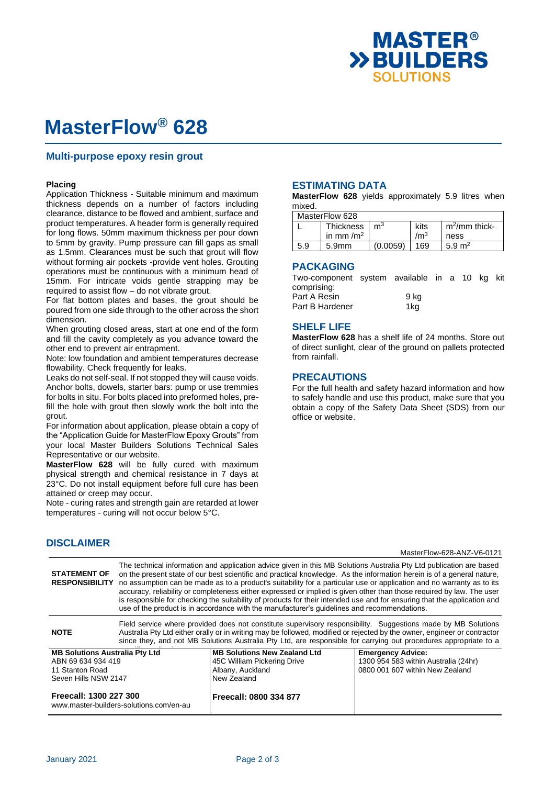

# **MasterFlow® 628**

### **Multi-purpose epoxy resin grout**

#### **Placing**

Application Thickness - Suitable minimum and maximum thickness depends on a number of factors including clearance, distance to be flowed and ambient, surface and product temperatures. A header form is generally required for long flows. 50mm maximum thickness per pour down to 5mm by gravity. Pump pressure can fill gaps as small as 1.5mm. Clearances must be such that grout will flow without forming air pockets -provide vent holes. Grouting operations must be continuous with a minimum head of 15mm. For intricate voids gentle strapping may be required to assist flow – do not vibrate grout.

For flat bottom plates and bases, the grout should be poured from one side through to the other across the short dimension.

When grouting closed areas, start at one end of the form and fill the cavity completely as you advance toward the other end to prevent air entrapment.

Note: low foundation and ambient temperatures decrease flowability. Check frequently for leaks.

Leaks do not self-seal. If not stopped they will cause voids. Anchor bolts, dowels, starter bars: pump or use tremmies for bolts in situ. For bolts placed into preformed holes, prefill the hole with grout then slowly work the bolt into the grout.

For information about application, please obtain a copy of the "Application Guide for MasterFlow Epoxy Grouts" from your local Master Builders Solutions Technical Sales Representative or our website.

**MasterFlow 628** will be fully cured with maximum physical strength and chemical resistance in 7 days at 23°C. Do not install equipment before full cure has been attained or creep may occur.

Note - curing rates and strength gain are retarded at lower temperatures - curing will not occur below 5°C.

# **DISCLAIMER**

### **ESTIMATING DATA**

**MasterFlow 628** yields approximately 5.9 litres when mixed.

| MasterFlow 628 |  |
|----------------|--|
|----------------|--|

| <b>IVIQJIGII IUW UZU</b> |                       |                |                 |                   |  |
|--------------------------|-----------------------|----------------|-----------------|-------------------|--|
|                          | Thickness             | m <sup>3</sup> | kits            | $m^2$ /mm thick-  |  |
|                          | in mm /m <sup>2</sup> |                | /m <sup>3</sup> | ness              |  |
| 5.9                      | 5.9 <sub>mm</sub>     | (0.0059)       | 169             | $5.9 \text{ m}^2$ |  |

#### **PACKAGING**

Two-component system available in a 10 kg kit comprising: Part A Resin 9 kg Part B Hardener 1kg

#### **SHELF LIFE**

**MasterFlow 628** has a shelf life of 24 months. Store out of direct sunlight, clear of the ground on pallets protected from rainfall.

#### **PRECAUTIONS**

For the full health and safety hazard information and how to safely handle and use this product, make sure that you obtain a copy of the Safety Data Sheet (SDS) from our office or website.

MasterFlow-628-ANZ-V6-0121

| <b>STATEMENT OF</b><br><b>RESPONSIBILITY</b> | The technical information and application advice given in this MB Solutions Australia Pty Ltd publication are based<br>on the present state of our best scientific and practical knowledge. As the information herein is of a general nature,<br>no assumption can be made as to a product's suitability for a particular use or application and no warranty as to its<br>accuracy, reliability or completeness either expressed or implied is given other than those required by law. The user<br>is responsible for checking the suitability of products for their intended use and for ensuring that the application and<br>use of the product is in accordance with the manufacturer's guidelines and recommendations. |                                     |                                      |  |
|----------------------------------------------|----------------------------------------------------------------------------------------------------------------------------------------------------------------------------------------------------------------------------------------------------------------------------------------------------------------------------------------------------------------------------------------------------------------------------------------------------------------------------------------------------------------------------------------------------------------------------------------------------------------------------------------------------------------------------------------------------------------------------|-------------------------------------|--------------------------------------|--|
| <b>NOTE</b>                                  | Field service where provided does not constitute supervisory responsibility. Suggestions made by MB Solutions<br>Australia Pty Ltd either orally or in writing may be followed, modified or rejected by the owner, engineer or contractor<br>since they, and not MB Solutions Australia Pty Ltd, are responsible for carrying out procedures appropriate to a                                                                                                                                                                                                                                                                                                                                                              |                                     |                                      |  |
| <b>MB Solutions Australia Pty Ltd</b>        |                                                                                                                                                                                                                                                                                                                                                                                                                                                                                                                                                                                                                                                                                                                            | <b>MB Solutions New Zealand Ltd</b> | <b>Emergency Advice:</b>             |  |
| ABN 69 634 934 419                           |                                                                                                                                                                                                                                                                                                                                                                                                                                                                                                                                                                                                                                                                                                                            | 45C William Pickering Drive         | 1300 954 583 within Australia (24hr) |  |
| 11 Stanton Road                              |                                                                                                                                                                                                                                                                                                                                                                                                                                                                                                                                                                                                                                                                                                                            | Albany, Auckland                    | 0800 001 607 within New Zealand      |  |
| Seven Hills NSW 2147                         |                                                                                                                                                                                                                                                                                                                                                                                                                                                                                                                                                                                                                                                                                                                            | New Zealand                         |                                      |  |
| Freecall: 1300 227 300                       | www.master-builders-solutions.com/en-au                                                                                                                                                                                                                                                                                                                                                                                                                                                                                                                                                                                                                                                                                    | Freecall: 0800 334 877              |                                      |  |